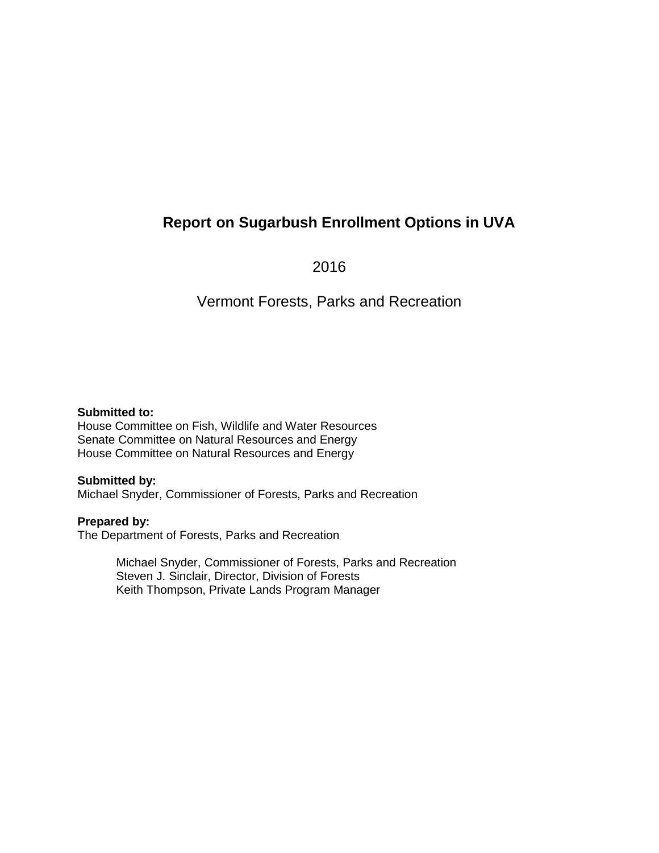## **Report on Sugarbush Enrollment Options in UVA**

2016

## Vermont Forests, Parks and Recreation

#### **Submitted to:**

House Committee on Fish, Wildlife and Water Resources Senate Committee on Natural Resources and Energy House Committee on Natural Resources and Energy

#### **Submitted by:**

Michael Snyder, Commissioner of Forests, Parks and Recreation

#### **Prepared by:**

The Department of Forests, Parks and Recreation

Michael Snyder, Commissioner of Forests, Parks and Recreation Steven J. Sinclair, Director, Division of Forests Keith Thompson, Private Lands Program Manager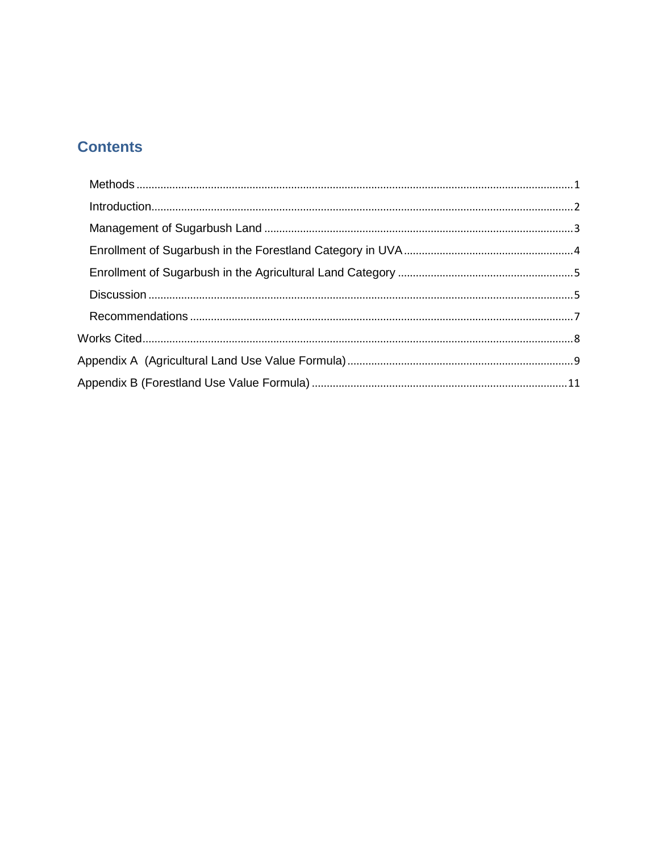# **Contents**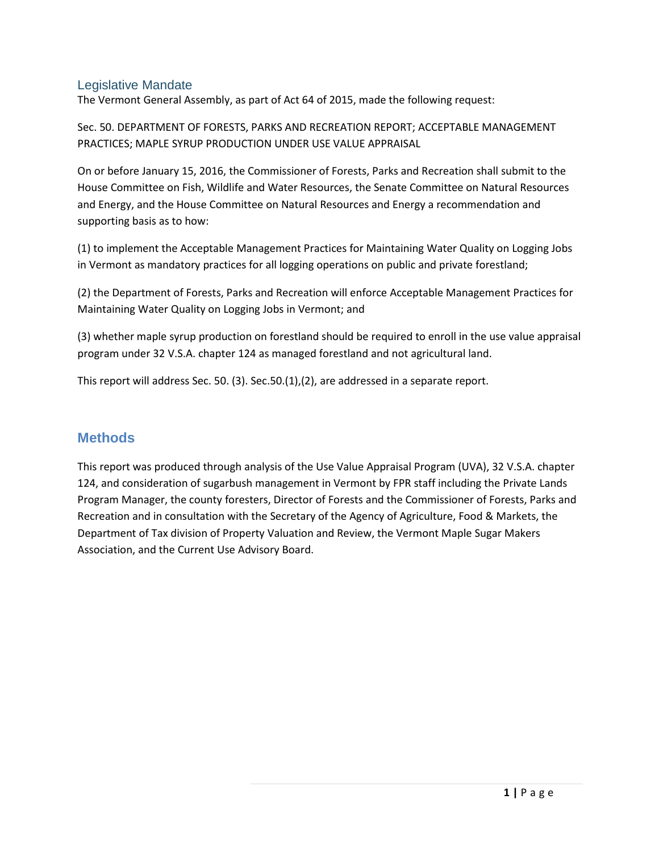#### Legislative Mandate

The Vermont General Assembly, as part of Act 64 of 2015, made the following request:

Sec. 50. DEPARTMENT OF FORESTS, PARKS AND RECREATION REPORT; ACCEPTABLE MANAGEMENT PRACTICES; MAPLE SYRUP PRODUCTION UNDER USE VALUE APPRAISAL

On or before January 15, 2016, the Commissioner of Forests, Parks and Recreation shall submit to the House Committee on Fish, Wildlife and Water Resources, the Senate Committee on Natural Resources and Energy, and the House Committee on Natural Resources and Energy a recommendation and supporting basis as to how:

(1) to implement the Acceptable Management Practices for Maintaining Water Quality on Logging Jobs in Vermont as mandatory practices for all logging operations on public and private forestland;

(2) the Department of Forests, Parks and Recreation will enforce Acceptable Management Practices for Maintaining Water Quality on Logging Jobs in Vermont; and

(3) whether maple syrup production on forestland should be required to enroll in the use value appraisal program under 32 V.S.A. chapter 124 as managed forestland and not agricultural land.

This report will address Sec. 50. (3). Sec.50.(1),(2), are addressed in a separate report.

#### **Methods**

This report was produced through analysis of the Use Value Appraisal Program (UVA), 32 V.S.A. chapter 124, and consideration of sugarbush management in Vermont by FPR staff including the Private Lands Program Manager, the county foresters, Director of Forests and the Commissioner of Forests, Parks and Recreation and in consultation with the Secretary of the Agency of Agriculture, Food & Markets, the Department of Tax division of Property Valuation and Review, the Vermont Maple Sugar Makers Association, and the Current Use Advisory Board.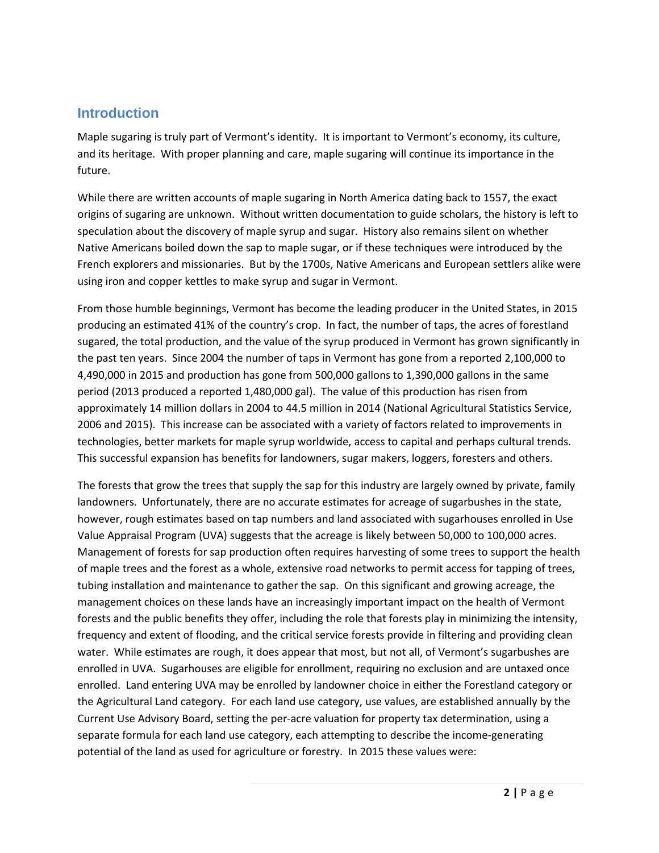#### **Introduction**

Maple sugaring is truly part of Vermont's identity. It is important to Vermont's economy, its culture, and its heritage. With proper planning and care, maple sugaring will continue its importance in the future.

While there are written accounts of maple sugaring in North America dating back to 1557, the exact origins of sugaring are unknown. Without written documentation to guide scholars, the history is left to speculation about the discovery of maple syrup and sugar. History also remains silent on whether Native Americans boiled down the sap to maple sugar, or if these techniques were introduced by the French explorers and missionaries. But by the 1700s, Native Americans and European settlers alike were using iron and copper kettles to make syrup and sugar in Vermont.

From those humble beginnings, Vermont has become the leading producer in the United States, in 2015 producing an estimated 41% of the country's crop. In fact, the number of taps, the acres of forestland sugared, the total production, and the value of the syrup produced in Vermont has grown significantly in the past ten years. Since 2004 the number of taps in Vermont has gone from a reported 2,100,000 to 4,490,000 in 2015 and production has gone from 500,000 gallons to 1,390,000 gallons in the same period (2013 produced a reported 1,480,000 gal). The value of this production has risen from approximately 14 million dollars in 2004 to 44.5 million in 2014 (National Agricultural Statistics Service, 2006 and 2015). This increase can be associated with a variety of factors related to improvements in technologies, better markets for maple syrup worldwide, access to capital and perhaps cultural trends. This successful expansion has benefits for landowners, sugar makers, loggers, foresters and others.

The forests that grow the trees that supply the sap for this industry are largely owned by private, family landowners. Unfortunately, there are no accurate estimates for acreage of sugarbushes in the state, however, rough estimates based on tap numbers and land associated with sugarhouses enrolled in Use Value Appraisal Program (UVA) suggests that the acreage is likely between 50,000 to 100,000 acres. Management of forests for sap production often requires harvesting of some trees to support the health of maple trees and the forest as a whole, extensive road networks to permit access for tapping of trees, tubing installation and maintenance to gather the sap. On this significant and growing acreage, the management choices on these lands have an increasingly important impact on the health of Vermont forests and the public benefits they offer, including the role that forests play in minimizing the intensity, frequency and extent of flooding, and the critical service forests provide in filtering and providing clean water. While estimates are rough, it does appear that most, but not all, of Vermont's sugarbushes are enrolled in UVA. Sugarhouses are eligible for enrollment, requiring no exclusion and are untaxed once enrolled. Land entering UVA may be enrolled by landowner choice in either the Forestland category or the Agricultural Land category. For each land use category, use values, are established annually by the Current Use Advisory Board, setting the per-acre valuation for property tax determination, using a separate formula for each land use category, each attempting to describe the income-generating potential of the land as used for agriculture or forestry. In 2015 these values were: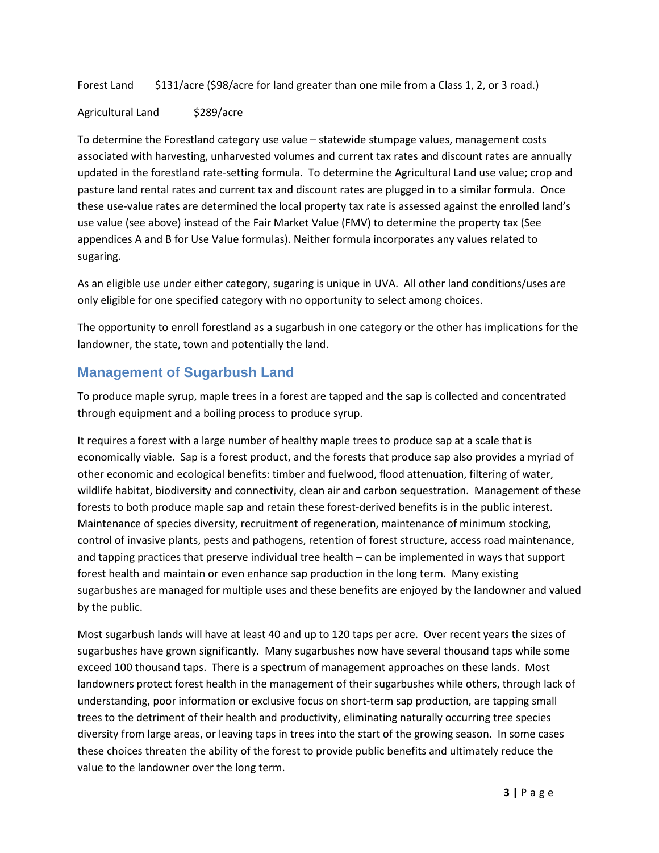Forest Land  $\frac{131}{20}$  \$131/acre (\$98/acre for land greater than one mile from a Class 1, 2, or 3 road.)

#### Agricultural Land \$289/acre

To determine the Forestland category use value – statewide stumpage values, management costs associated with harvesting, unharvested volumes and current tax rates and discount rates are annually updated in the forestland rate-setting formula. To determine the Agricultural Land use value; crop and pasture land rental rates and current tax and discount rates are plugged in to a similar formula. Once these use-value rates are determined the local property tax rate is assessed against the enrolled land's use value (see above) instead of the Fair Market Value (FMV) to determine the property tax (See appendices A and B for Use Value formulas). Neither formula incorporates any values related to sugaring.

As an eligible use under either category, sugaring is unique in UVA. All other land conditions/uses are only eligible for one specified category with no opportunity to select among choices.

The opportunity to enroll forestland as a sugarbush in one category or the other has implications for the landowner, the state, town and potentially the land.

## **Management of Sugarbush Land**

To produce maple syrup, maple trees in a forest are tapped and the sap is collected and concentrated through equipment and a boiling process to produce syrup.

It requires a forest with a large number of healthy maple trees to produce sap at a scale that is economically viable. Sap is a forest product, and the forests that produce sap also provides a myriad of other economic and ecological benefits: timber and fuelwood, flood attenuation, filtering of water, wildlife habitat, biodiversity and connectivity, clean air and carbon sequestration. Management of these forests to both produce maple sap and retain these forest-derived benefits is in the public interest. Maintenance of species diversity, recruitment of regeneration, maintenance of minimum stocking, control of invasive plants, pests and pathogens, retention of forest structure, access road maintenance, and tapping practices that preserve individual tree health – can be implemented in ways that support forest health and maintain or even enhance sap production in the long term. Many existing sugarbushes are managed for multiple uses and these benefits are enjoyed by the landowner and valued by the public.

Most sugarbush lands will have at least 40 and up to 120 taps per acre. Over recent years the sizes of sugarbushes have grown significantly. Many sugarbushes now have several thousand taps while some exceed 100 thousand taps. There is a spectrum of management approaches on these lands. Most landowners protect forest health in the management of their sugarbushes while others, through lack of understanding, poor information or exclusive focus on short-term sap production, are tapping small trees to the detriment of their health and productivity, eliminating naturally occurring tree species diversity from large areas, or leaving taps in trees into the start of the growing season. In some cases these choices threaten the ability of the forest to provide public benefits and ultimately reduce the value to the landowner over the long term.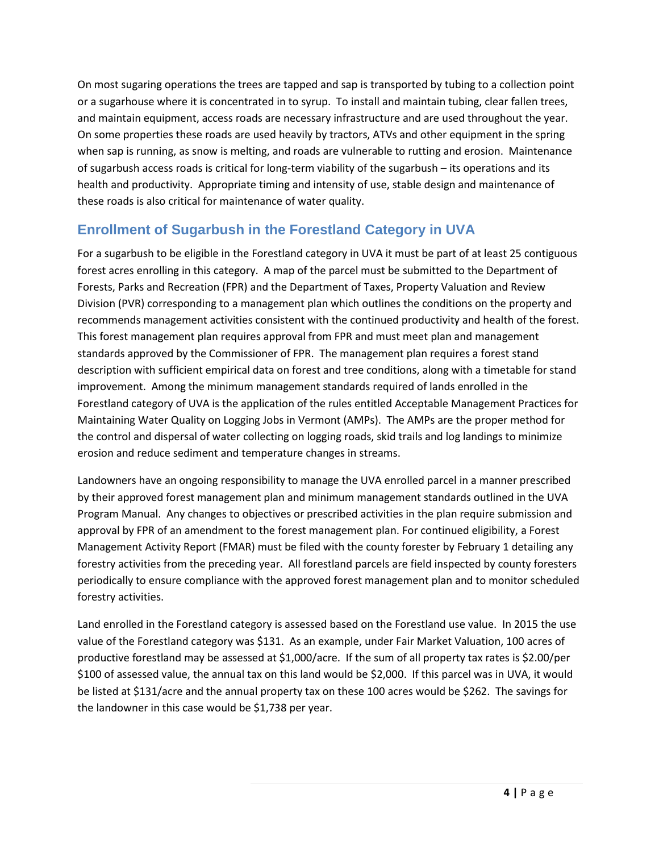On most sugaring operations the trees are tapped and sap is transported by tubing to a collection point or a sugarhouse where it is concentrated in to syrup. To install and maintain tubing, clear fallen trees, and maintain equipment, access roads are necessary infrastructure and are used throughout the year. On some properties these roads are used heavily by tractors, ATVs and other equipment in the spring when sap is running, as snow is melting, and roads are vulnerable to rutting and erosion. Maintenance of sugarbush access roads is critical for long-term viability of the sugarbush – its operations and its health and productivity. Appropriate timing and intensity of use, stable design and maintenance of these roads is also critical for maintenance of water quality.

## **Enrollment of Sugarbush in the Forestland Category in UVA**

For a sugarbush to be eligible in the Forestland category in UVA it must be part of at least 25 contiguous forest acres enrolling in this category. A map of the parcel must be submitted to the Department of Forests, Parks and Recreation (FPR) and the Department of Taxes, Property Valuation and Review Division (PVR) corresponding to a management plan which outlines the conditions on the property and recommends management activities consistent with the continued productivity and health of the forest. This forest management plan requires approval from FPR and must meet plan and management standards approved by the Commissioner of FPR. The management plan requires a forest stand description with sufficient empirical data on forest and tree conditions, along with a timetable for stand improvement. Among the minimum management standards required of lands enrolled in the Forestland category of UVA is the application of the rules entitled Acceptable Management Practices for Maintaining Water Quality on Logging Jobs in Vermont (AMPs). The AMPs are the proper method for the control and dispersal of water collecting on logging roads, skid trails and log landings to minimize erosion and reduce sediment and temperature changes in streams.

Landowners have an ongoing responsibility to manage the UVA enrolled parcel in a manner prescribed by their approved forest management plan and minimum management standards outlined in the UVA Program Manual. Any changes to objectives or prescribed activities in the plan require submission and approval by FPR of an amendment to the forest management plan. For continued eligibility, a [Forest](http://tax.vermont.gov/sites/tax/files/documents/lu-fmar-rev1-09-fillin_0.pdf) [Management](http://tax.vermont.gov/sites/tax/files/documents/lu-fmar-rev1-09-fillin_0.pdf) Activity Report (FMAR) must be filed with the county forester by February 1 detailing any forestry activities from the preceding year. All forestland parcels are field inspected by county foresters periodically to ensure compliance with the approved forest management plan and to monitor scheduled forestry activities.

Land enrolled in the Forestland category is assessed based on the Forestland use value. In 2015 the use value of the Forestland category was \$131. As an example, under Fair Market Valuation, 100 acres of productive forestland may be assessed at \$1,000/acre. If the sum of all property tax rates is \$2.00/per \$100 of assessed value, the annual tax on this land would be \$2,000. If this parcel was in UVA, it would be listed at \$131/acre and the annual property tax on these 100 acres would be \$262. The savings for the landowner in this case would be \$1,738 per year.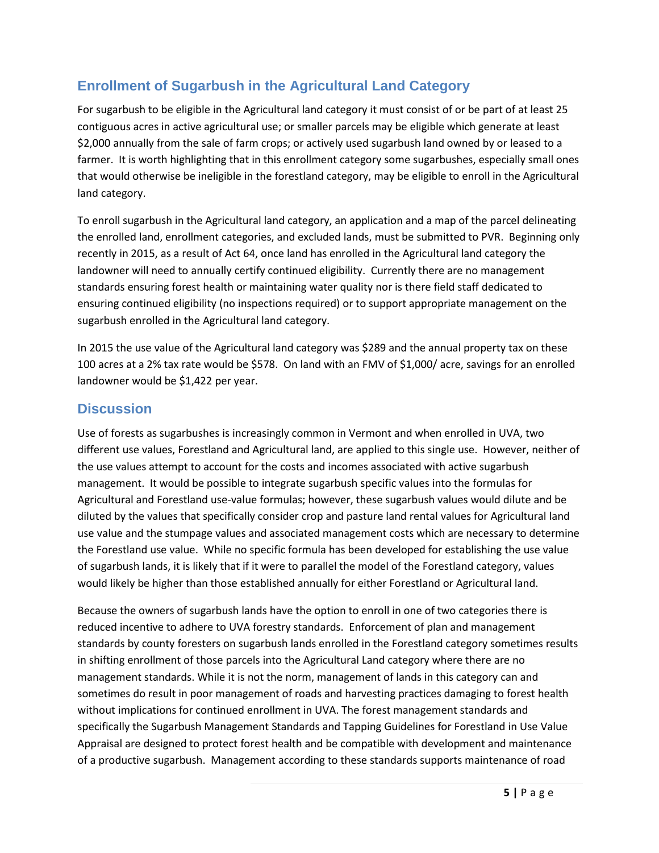## **Enrollment of Sugarbush in the Agricultural Land Category**

For sugarbush to be eligible in the Agricultural land category it must consist of or be part of at least 25 contiguous acres in active agricultural use; or smaller parcels may be eligible which generate at least \$2,000 annually from the sale of farm crops; or actively used sugarbush land owned by or leased to a farmer. It is worth highlighting that in this enrollment category some sugarbushes, especially small ones that would otherwise be ineligible in the forestland category, may be eligible to enroll in the Agricultural land category.

To enroll sugarbush in the Agricultural land category, an application and a map of the parcel delineating the enrolled land, enrollment categories, and excluded lands, must be submitted to PVR. Beginning only recently in 2015, as a result of Act 64, once land has enrolled in the Agricultural land category the landowner will need to annually certify continued eligibility. Currently there are no management standards ensuring forest health or maintaining water quality nor is there field staff dedicated to ensuring continued eligibility (no inspections required) or to support appropriate management on the sugarbush enrolled in the Agricultural land category.

In 2015 the use value of the Agricultural land category was \$289 and the annual property tax on these 100 acres at a 2% tax rate would be \$578. On land with an FMV of \$1,000/ acre, savings for an enrolled landowner would be \$1,422 per year.

## **Discussion**

Use of forests as sugarbushes is increasingly common in Vermont and when enrolled in UVA, two different use values, Forestland and Agricultural land, are applied to this single use. However, neither of the use values attempt to account for the costs and incomes associated with active sugarbush management. It would be possible to integrate sugarbush specific values into the formulas for Agricultural and Forestland use-value formulas; however, these sugarbush values would dilute and be diluted by the values that specifically consider crop and pasture land rental values for Agricultural land use value and the stumpage values and associated management costs which are necessary to determine the Forestland use value. While no specific formula has been developed for establishing the use value of sugarbush lands, it is likely that if it were to parallel the model of the Forestland category, values would likely be higher than those established annually for either Forestland or Agricultural land.

Because the owners of sugarbush lands have the option to enroll in one of two categories there is reduced incentive to adhere to UVA forestry standards. Enforcement of plan and management standards by county foresters on sugarbush lands enrolled in the Forestland category sometimes results in shifting enrollment of those parcels into the Agricultural Land category where there are no management standards. While it is not the norm, management of lands in this category can and sometimes do result in poor management of roads and harvesting practices damaging to forest health without implications for continued enrollment in UVA. The forest management standards and specifically the Sugarbush Management Standards and Tapping Guidelines for Forestland in Use Value Appraisal are designed to protect forest health and be compatible with development and maintenance of a productive sugarbush. Management according to these standards supports maintenance of road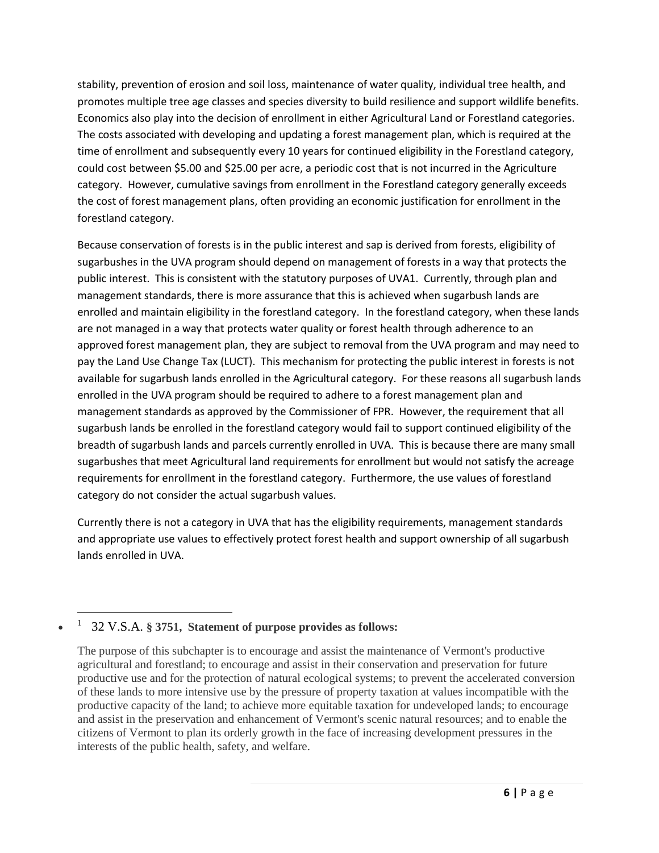stability, prevention of erosion and soil loss, maintenance of water quality, individual tree health, and promotes multiple tree age classes and species diversity to build resilience and support wildlife benefits. Economics also play into the decision of enrollment in either Agricultural Land or Forestland categories. The costs associated with developing and updating a forest management plan, which is required at the time of enrollment and subsequently every 10 years for continued eligibility in the Forestland category, could cost between \$5.00 and \$25.00 per acre, a periodic cost that is not incurred in the Agriculture category. However, cumulative savings from enrollment in the Forestland category generally exceeds the cost of forest management plans, often providing an economic justification for enrollment in the forestland category.

Because conservation of forests is in the public interest and sap is derived from forests, eligibility of sugarbushes in the UVA program should depend on management of forests in a way that protects the public interest. This is consistent with the statutory purposes of UVA1. Currently, through plan and management standards, there is more assurance that this is achieved when sugarbush lands are enrolled and maintain eligibility in the forestland category. In the forestland category, when these lands are not managed in a way that protects water quality or forest health through adherence to an approved forest management plan, they are subject to removal from the UVA program and may need to pay the Land Use Change Tax (LUCT). This mechanism for protecting the public interest in forests is not available for sugarbush lands enrolled in the Agricultural category. For these reasons all sugarbush lands enrolled in the UVA program should be required to adhere to a forest management plan and management standards as approved by the Commissioner of FPR. However, the requirement that all sugarbush lands be enrolled in the forestland category would fail to support continued eligibility of the breadth of sugarbush lands and parcels currently enrolled in UVA. This is because there are many small sugarbushes that meet Agricultural land requirements for enrollment but would not satisfy the acreage requirements for enrollment in the forestland category. Furthermore, the use values of forestland category do not consider the actual sugarbush values.

Currently there is not a category in UVA that has the eligibility requirements, management standards and appropriate use values to effectively protect forest health and support ownership of all sugarbush lands enrolled in UVA.

#### $\bullet$ 1 32 V.S.A. **§ 3751, Statement of purpose provides as follows:**

 $\overline{a}$ 

The purpose of this subchapter is to encourage and assist the maintenance of Vermont's productive agricultural and forestland; to encourage and assist in their conservation and preservation for future productive use and for the protection of natural ecological systems; to prevent the accelerated conversion of these lands to more intensive use by the pressure of property taxation at values incompatible with the productive capacity of the land; to achieve more equitable taxation for undeveloped lands; to encourage and assist in the preservation and enhancement of Vermont's scenic natural resources; and to enable the citizens of Vermont to plan its orderly growth in the face of increasing development pressures in the interests of the public health, safety, and welfare.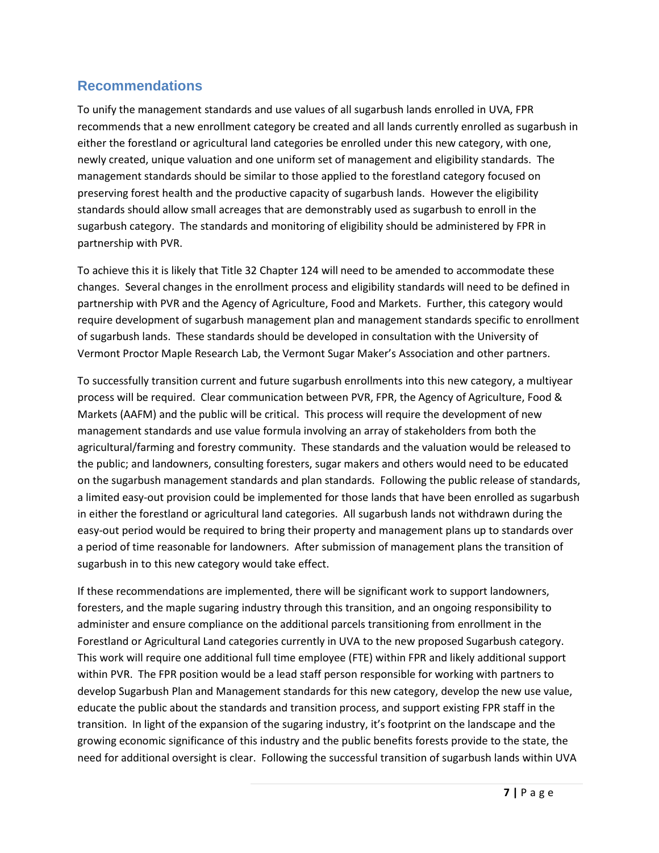## **Recommendations**

To unify the management standards and use values of all sugarbush lands enrolled in UVA, FPR recommends that a new enrollment category be created and all lands currently enrolled as sugarbush in either the forestland or agricultural land categories be enrolled under this new category, with one, newly created, unique valuation and one uniform set of management and eligibility standards. The management standards should be similar to those applied to the forestland category focused on preserving forest health and the productive capacity of sugarbush lands. However the eligibility standards should allow small acreages that are demonstrably used as sugarbush to enroll in the sugarbush category. The standards and monitoring of eligibility should be administered by FPR in partnership with PVR.

To achieve this it is likely that Title 32 Chapter 124 will need to be amended to accommodate these changes. Several changes in the enrollment process and eligibility standards will need to be defined in partnership with PVR and the Agency of Agriculture, Food and Markets. Further, this category would require development of sugarbush management plan and management standards specific to enrollment of sugarbush lands. These standards should be developed in consultation with the University of Vermont Proctor Maple Research Lab, the Vermont Sugar Maker's Association and other partners.

To successfully transition current and future sugarbush enrollments into this new category, a multiyear process will be required. Clear communication between PVR, FPR, the Agency of Agriculture, Food & Markets (AAFM) and the public will be critical. This process will require the development of new management standards and use value formula involving an array of stakeholders from both the agricultural/farming and forestry community. These standards and the valuation would be released to the public; and landowners, consulting foresters, sugar makers and others would need to be educated on the sugarbush management standards and plan standards. Following the public release of standards, a limited easy-out provision could be implemented for those lands that have been enrolled as sugarbush in either the forestland or agricultural land categories. All sugarbush lands not withdrawn during the easy-out period would be required to bring their property and management plans up to standards over a period of time reasonable for landowners. After submission of management plans the transition of sugarbush in to this new category would take effect.

If these recommendations are implemented, there will be significant work to support landowners, foresters, and the maple sugaring industry through this transition, and an ongoing responsibility to administer and ensure compliance on the additional parcels transitioning from enrollment in the Forestland or Agricultural Land categories currently in UVA to the new proposed Sugarbush category. This work will require one additional full time employee (FTE) within FPR and likely additional support within PVR. The FPR position would be a lead staff person responsible for working with partners to develop Sugarbush Plan and Management standards for this new category, develop the new use value, educate the public about the standards and transition process, and support existing FPR staff in the transition. In light of the expansion of the sugaring industry, it's footprint on the landscape and the growing economic significance of this industry and the public benefits forests provide to the state, the need for additional oversight is clear. Following the successful transition of sugarbush lands within UVA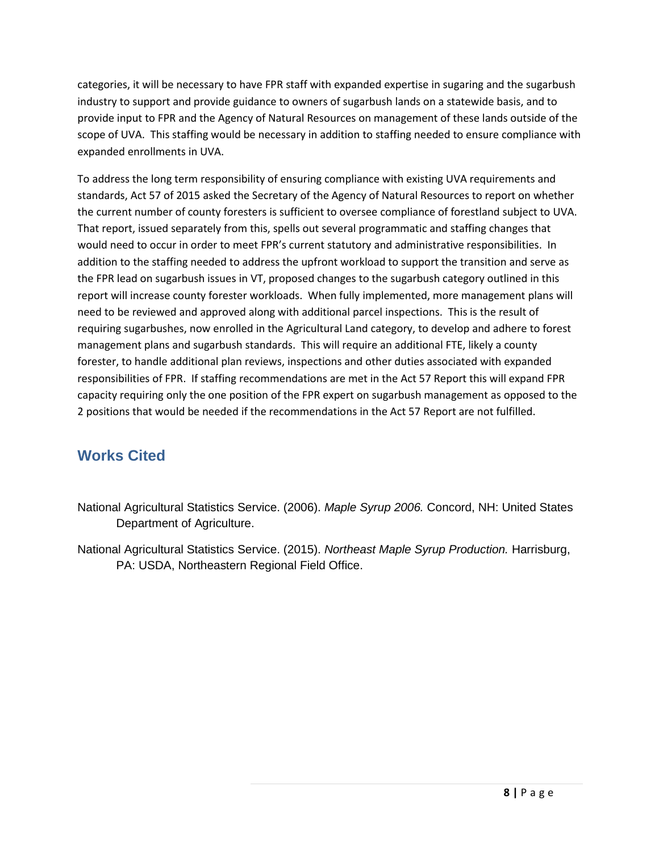categories, it will be necessary to have FPR staff with expanded expertise in sugaring and the sugarbush industry to support and provide guidance to owners of sugarbush lands on a statewide basis, and to provide input to FPR and the Agency of Natural Resources on management of these lands outside of the scope of UVA. This staffing would be necessary in addition to staffing needed to ensure compliance with expanded enrollments in UVA.

To address the long term responsibility of ensuring compliance with existing UVA requirements and standards, Act 57 of 2015 asked the Secretary of the Agency of Natural Resources to report on whether the current number of county foresters is sufficient to oversee compliance of forestland subject to UVA. That report, issued separately from this, spells out several programmatic and staffing changes that would need to occur in order to meet FPR's current statutory and administrative responsibilities. In addition to the staffing needed to address the upfront workload to support the transition and serve as the FPR lead on sugarbush issues in VT, proposed changes to the sugarbush category outlined in this report will increase county forester workloads. When fully implemented, more management plans will need to be reviewed and approved along with additional parcel inspections. This is the result of requiring sugarbushes, now enrolled in the Agricultural Land category, to develop and adhere to forest management plans and sugarbush standards. This will require an additional FTE, likely a county forester, to handle additional plan reviews, inspections and other duties associated with expanded responsibilities of FPR. If staffing recommendations are met in the Act 57 Report this will expand FPR capacity requiring only the one position of the FPR expert on sugarbush management as opposed to the 2 positions that would be needed if the recommendations in the Act 57 Report are not fulfilled.

# **Works Cited**

- National Agricultural Statistics Service. (2006). *Maple Syrup 2006.* Concord, NH: United States Department of Agriculture.
- National Agricultural Statistics Service. (2015). *Northeast Maple Syrup Production.* Harrisburg, PA: USDA, Northeastern Regional Field Office.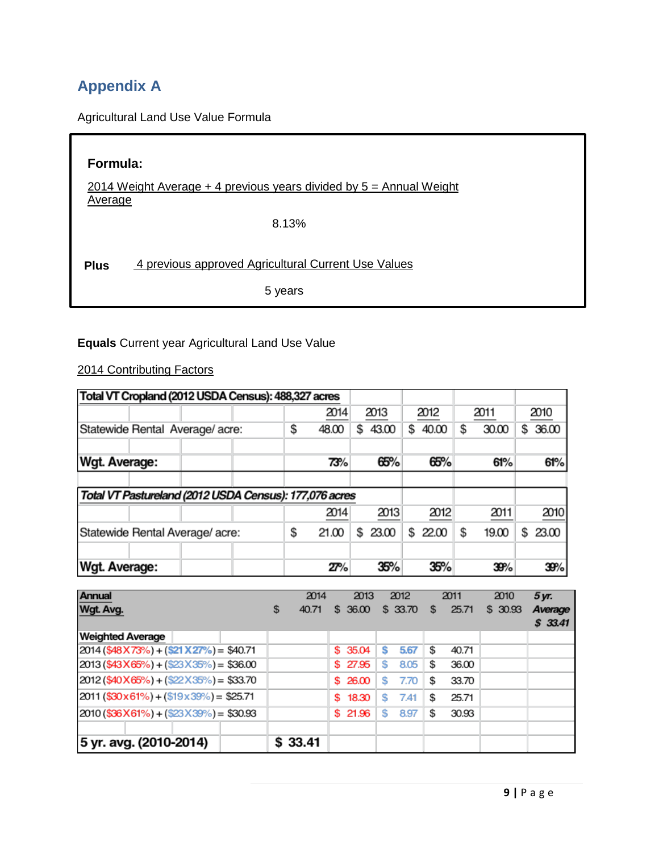# **Appendix A**

Agricultural Land Use Value Formula

| Formula:                                                                           |                                                     |  |  |  |  |
|------------------------------------------------------------------------------------|-----------------------------------------------------|--|--|--|--|
| 2014 Weight Average $+$ 4 previous years divided by $5 =$ Annual Weight<br>Average |                                                     |  |  |  |  |
|                                                                                    | 8.13%                                               |  |  |  |  |
| <b>Plus</b>                                                                        | 4 previous approved Agricultural Current Use Values |  |  |  |  |
|                                                                                    | 5 years                                             |  |  |  |  |

## **Equals** Current year Agricultural Land Use Value

2014 Contributing Factors

| Total VT Cropland (2012 USDA Census): 488,327 acres    |    |       |   |       |    |       |   |       |   |       |
|--------------------------------------------------------|----|-------|---|-------|----|-------|---|-------|---|-------|
|                                                        |    | 2014  |   | 2013  |    | 2012  |   | 2011  |   | 2010  |
| Statewide Rental Average/acre:                         | \$ | 48.00 | S | 43.00 | S  | 40.00 | S | 30.00 | S | 36.00 |
| Wgt. Average:                                          |    | 73%   |   | 65%   |    | 65%   |   | 61%   |   | 61%   |
| Total VT Pastureland (2012 USDA Census): 177,076 acres |    |       |   |       |    |       |   |       |   |       |
|                                                        |    | 2014  |   | 2013  |    | 2012  |   | 2011  |   | 2010  |
| Statewide Rental Average/ acre:                        | \$ | 21.00 | S | 23.00 | \$ | 22.00 | S | 19.00 | S | 23.00 |
| <b>Wgt. Average:</b>                                   |    | 27%   |   | 35%   |    | 35%   |   | 39%   |   | 39%   |

| <b>Annual</b><br>Wgt. Avg.                   | 2014<br>S<br>40.71 | 2013<br>\$ 36.00 | 2012<br>\$33.70 | 2011<br>25.71<br>S | 2010<br>5 yr.<br>\$30.93<br>Average<br>\$33.41 |
|----------------------------------------------|--------------------|------------------|-----------------|--------------------|------------------------------------------------|
| <b>Weighted Average</b>                      |                    |                  |                 |                    |                                                |
| $2014$ (\$48 X 73%) + (\$21 X 27%) = \$40.71 |                    | \$ 35.04         | 5.67<br>s       | S<br>40.71         |                                                |
| $2013$ (\$43X65%) + (\$23X35%) = \$36.00     |                    | \$ 27.95         | s<br>8.05       | s<br>36.00         |                                                |
| $2012$ (\$40 X 65%) + (\$22 X 35%) = \$33.70 |                    | \$26.00          | S<br>7.70       | 33.70<br>s         |                                                |
| $2011$ (\$30x61%) + (\$19x39%) = \$25.71     |                    | 18.30<br>s.      | s<br>7.41       | 25.71<br>S         |                                                |
| $2010$ (\$36X61%) + (\$23X39%) = \$30.93     |                    | \$21.96          | S<br>8.97       | 30.93<br>S         |                                                |
|                                              |                    |                  |                 |                    |                                                |
| 5 yr. avg. (2010-2014)                       | \$33.41            |                  |                 |                    |                                                |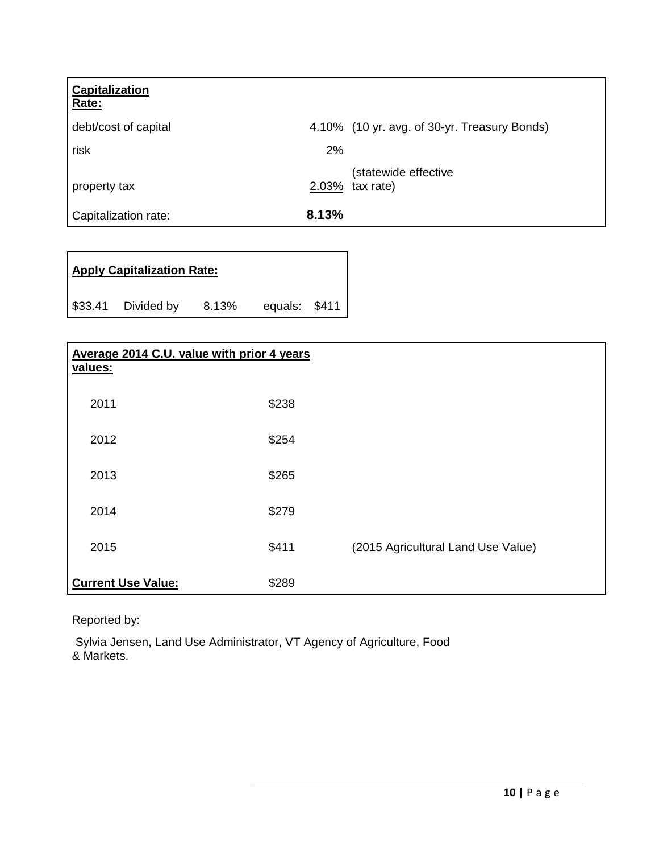| Capitalization<br>Rate: |                                              |  |
|-------------------------|----------------------------------------------|--|
| debt/cost of capital    | 4.10% (10 yr. avg. of 30-yr. Treasury Bonds) |  |
| risk                    | 2%                                           |  |
| property tax            | (statewide effective<br>2.03%<br>tax rate)   |  |
| Capitalization rate:    | 8.13%                                        |  |

| <b>Apply Capitalization Rate:</b> |                    |       |               |  |  |  |
|-----------------------------------|--------------------|-------|---------------|--|--|--|
|                                   | \$33.41 Divided by | 8.13% | equals: \$411 |  |  |  |

| Average 2014 C.U. value with prior 4 years<br>values: |       |                                    |
|-------------------------------------------------------|-------|------------------------------------|
| 2011                                                  | \$238 |                                    |
| 2012                                                  | \$254 |                                    |
| 2013                                                  | \$265 |                                    |
| 2014                                                  | \$279 |                                    |
| 2015                                                  | \$411 | (2015 Agricultural Land Use Value) |
| <b>Current Use Value:</b>                             | \$289 |                                    |

Reported by:

Sylvia Jensen, Land Use Administrator, VT Agency of Agriculture, Food & Markets.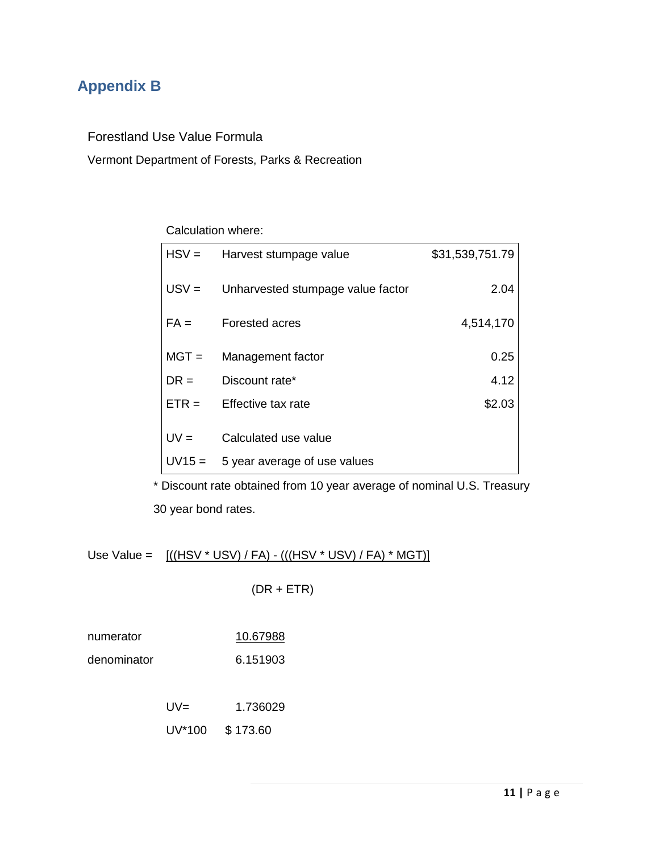# **Appendix B**

Forestland Use Value Formula

Vermont Department of Forests, Parks & Recreation

#### Calculation where:

| $HSV =$  | Harvest stumpage value            | \$31,539,751.79 |
|----------|-----------------------------------|-----------------|
| $USV =$  | Unharvested stumpage value factor | 2.04            |
| $FA =$   | <b>Forested acres</b>             | 4,514,170       |
| $MGT =$  | Management factor                 | 0.25            |
| $DR =$   | Discount rate*                    | 4.12            |
| $ETR =$  | Effective tax rate                | \$2.03          |
| $UV =$   | Calculated use value              |                 |
| $UV15 =$ | 5 year average of use values      |                 |

 \* Discount rate obtained from 10 year average of nominal U.S. Treasury 30 year bond rates.

Use Value =  $[(HSV * USV) / FA) - (((HSV * USV) / FA) * MGT]$ 

 $(DR + ETR)$ 

numerator 10.67988

denominator 6.151903

UV= 1.736029

UV\*100 \$ 173.60